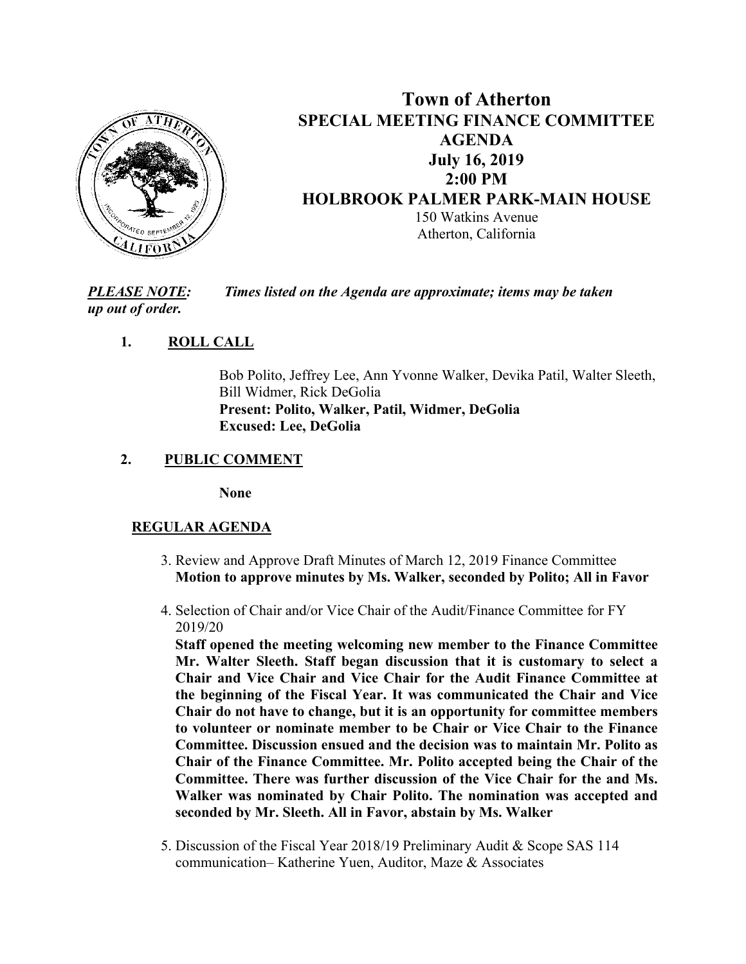

# **Town of Atherton SPECIAL MEETING FINANCE COMMITTEE AGENDA July 16, 2019 2:00 PM HOLBROOK PALMER PARK-MAIN HOUSE**  150 Watkins Avenue Atherton, California

*PLEASE NOTE: Times listed on the Agenda are approximate; items may be taken up out of order.* 

# **1. ROLL CALL**

Bob Polito, Jeffrey Lee, Ann Yvonne Walker, Devika Patil, Walter Sleeth, Bill Widmer, Rick DeGolia **Present: Polito, Walker, Patil, Widmer, DeGolia Excused: Lee, DeGolia** 

## **2. PUBLIC COMMENT**

**None**

### **REGULAR AGENDA**

- 3. Review and Approve Draft Minutes of March 12, 2019 Finance Committee **Motion to approve minutes by Ms. Walker, seconded by Polito; All in Favor**
- 4. Selection of Chair and/or Vice Chair of the Audit/Finance Committee for FY 2019/20

**Staff opened the meeting welcoming new member to the Finance Committee Mr. Walter Sleeth. Staff began discussion that it is customary to select a Chair and Vice Chair and Vice Chair for the Audit Finance Committee at the beginning of the Fiscal Year. It was communicated the Chair and Vice Chair do not have to change, but it is an opportunity for committee members to volunteer or nominate member to be Chair or Vice Chair to the Finance Committee. Discussion ensued and the decision was to maintain Mr. Polito as Chair of the Finance Committee. Mr. Polito accepted being the Chair of the Committee. There was further discussion of the Vice Chair for the and Ms. Walker was nominated by Chair Polito. The nomination was accepted and seconded by Mr. Sleeth. All in Favor, abstain by Ms. Walker** 

 5. Discussion of the Fiscal Year 2018/19 Preliminary Audit & Scope SAS 114 communication– Katherine Yuen, Auditor, Maze & Associates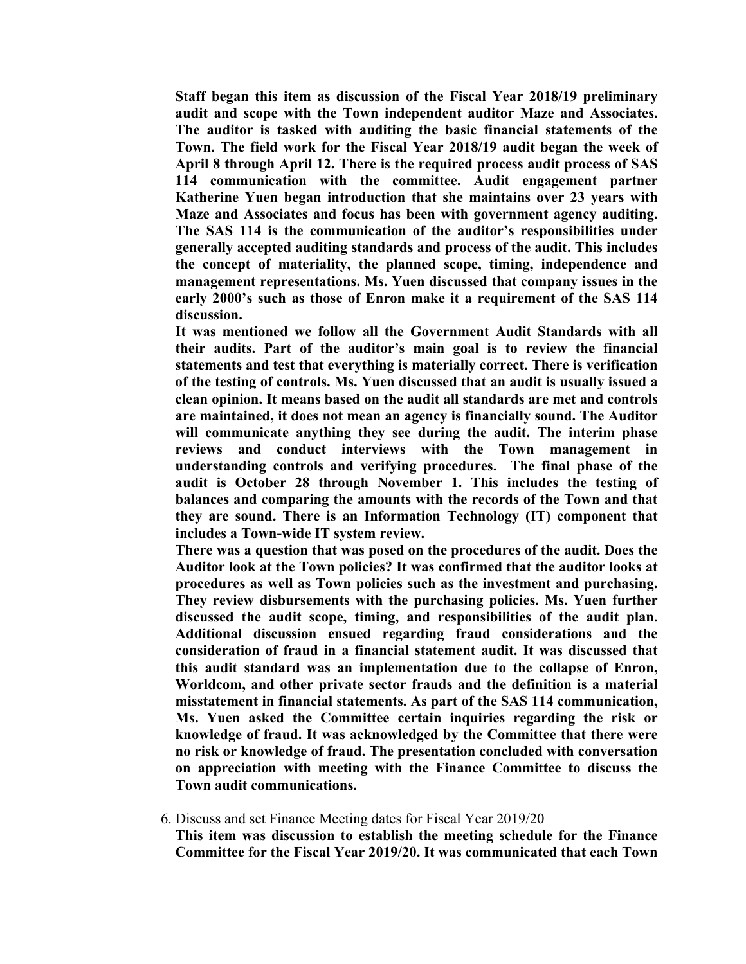**Staff began this item as discussion of the Fiscal Year 2018/19 preliminary audit and scope with the Town independent auditor Maze and Associates. The auditor is tasked with auditing the basic financial statements of the Town. The field work for the Fiscal Year 2018/19 audit began the week of April 8 through April 12. There is the required process audit process of SAS 114 communication with the committee. Audit engagement partner Katherine Yuen began introduction that she maintains over 23 years with Maze and Associates and focus has been with government agency auditing. The SAS 114 is the communication of the auditor's responsibilities under generally accepted auditing standards and process of the audit. This includes the concept of materiality, the planned scope, timing, independence and management representations. Ms. Yuen discussed that company issues in the early 2000's such as those of Enron make it a requirement of the SAS 114 discussion.** 

**It was mentioned we follow all the Government Audit Standards with all their audits. Part of the auditor's main goal is to review the financial statements and test that everything is materially correct. There is verification of the testing of controls. Ms. Yuen discussed that an audit is usually issued a clean opinion. It means based on the audit all standards are met and controls are maintained, it does not mean an agency is financially sound. The Auditor will communicate anything they see during the audit. The interim phase reviews and conduct interviews with the Town management in understanding controls and verifying procedures. The final phase of the audit is October 28 through November 1. This includes the testing of balances and comparing the amounts with the records of the Town and that they are sound. There is an Information Technology (IT) component that includes a Town-wide IT system review.** 

**There was a question that was posed on the procedures of the audit. Does the Auditor look at the Town policies? It was confirmed that the auditor looks at procedures as well as Town policies such as the investment and purchasing. They review disbursements with the purchasing policies. Ms. Yuen further discussed the audit scope, timing, and responsibilities of the audit plan. Additional discussion ensued regarding fraud considerations and the consideration of fraud in a financial statement audit. It was discussed that this audit standard was an implementation due to the collapse of Enron, Worldcom, and other private sector frauds and the definition is a material misstatement in financial statements. As part of the SAS 114 communication, Ms. Yuen asked the Committee certain inquiries regarding the risk or knowledge of fraud. It was acknowledged by the Committee that there were no risk or knowledge of fraud. The presentation concluded with conversation on appreciation with meeting with the Finance Committee to discuss the Town audit communications.** 

#### 6. Discuss and set Finance Meeting dates for Fiscal Year 2019/20

**This item was discussion to establish the meeting schedule for the Finance Committee for the Fiscal Year 2019/20. It was communicated that each Town**